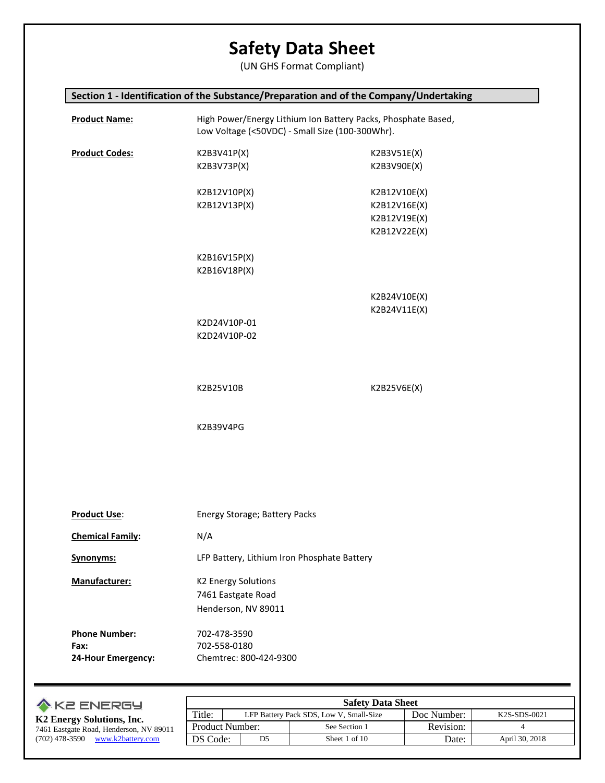(UN GHS Format Compliant)

## **Section 1 - Identification of the Substance/Preparation and of the Company/Undertaking**

| <b>Product Name:</b>                               | High Power/Energy Lithium Ion Battery Packs, Phosphate Based,<br>Low Voltage (<50VDC) - Small Size (100-300Whr). |                                                              |  |
|----------------------------------------------------|------------------------------------------------------------------------------------------------------------------|--------------------------------------------------------------|--|
| <b>Product Codes:</b>                              | K2B3V41P(X)<br>K2B3V73P(X)                                                                                       | K2B3V51E(X)<br>K2B3V90E(X)                                   |  |
|                                                    | K2B12V10P(X)<br>K2B12V13P(X)                                                                                     | K2B12V10E(X)<br>K2B12V16E(X)<br>K2B12V19E(X)<br>K2B12V22E(X) |  |
|                                                    | K2B16V15P(X)<br>K2B16V18P(X)                                                                                     |                                                              |  |
|                                                    | K2D24V10P-01<br>K2D24V10P-02                                                                                     | K2B24V10E(X)<br>K2B24V11E(X)                                 |  |
|                                                    | K2B25V10B                                                                                                        | K2B25V6E(X)                                                  |  |
|                                                    | K2B39V4PG                                                                                                        |                                                              |  |
|                                                    |                                                                                                                  |                                                              |  |
| <b>Product Use:</b>                                | Energy Storage; Battery Packs                                                                                    |                                                              |  |
| <b>Chemical Family:</b>                            | N/A                                                                                                              |                                                              |  |
| <b>Synonyms:</b>                                   | LFP Battery, Lithium Iron Phosphate Battery                                                                      |                                                              |  |
| Manufacturer:                                      | <b>K2 Energy Solutions</b><br>7461 Eastgate Road<br>Henderson, NV 89011                                          |                                                              |  |
| <b>Phone Number:</b><br>Fax:<br>24-Hour Emergency: | 702-478-3590<br>702-558-0180<br>Chemtrec: 800-424-9300                                                           |                                                              |  |

| <b>A KE ENERGY</b>                      |                        |                | <b>Safety Data Sheet</b> |           |                |
|-----------------------------------------|------------------------|----------------|--------------------------|-----------|----------------|
| K2 Energy Solutions, Inc.               | Title:                 | K2S-SDS-0021   |                          |           |                |
| 7461 Eastgate Road, Henderson, NV 89011 | <b>Product Number:</b> |                | See Section 1            | Revision: |                |
| $(702)$ 478-3590 www.k2battery.com      | DS Code:               | D <sub>5</sub> | Sheet 1 of 10            | Date:     | April 30, 2018 |
|                                         |                        |                |                          |           |                |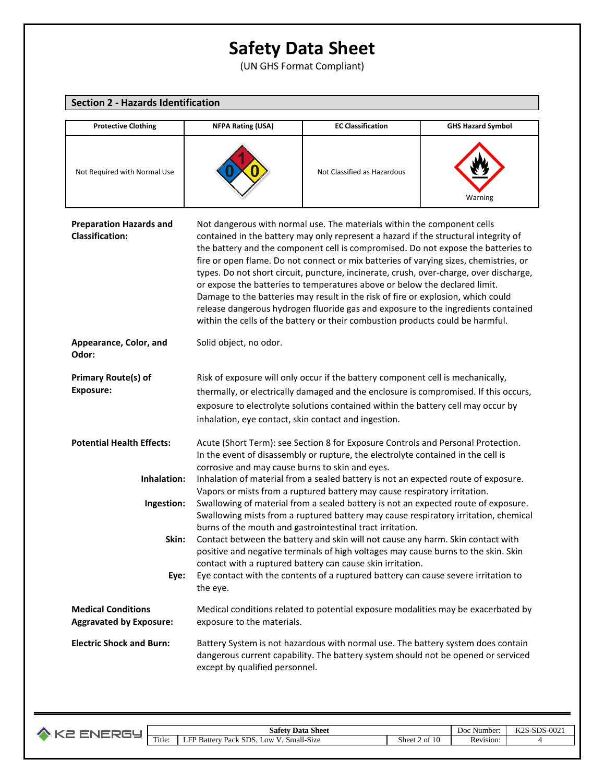(UN GHS Format Compliant)

| <b>Section 2 - Hazards Identification</b>                   |                                                                                                                                                                                                                                                                                                                     |                                                                                                                                                                                                                                                                                                                                                                                                                                                                                                                                                                                                                                                                                                                                                                                 |                          |  |
|-------------------------------------------------------------|---------------------------------------------------------------------------------------------------------------------------------------------------------------------------------------------------------------------------------------------------------------------------------------------------------------------|---------------------------------------------------------------------------------------------------------------------------------------------------------------------------------------------------------------------------------------------------------------------------------------------------------------------------------------------------------------------------------------------------------------------------------------------------------------------------------------------------------------------------------------------------------------------------------------------------------------------------------------------------------------------------------------------------------------------------------------------------------------------------------|--------------------------|--|
| <b>Protective Clothing</b>                                  | <b>NFPA Rating (USA)</b>                                                                                                                                                                                                                                                                                            | <b>EC Classification</b>                                                                                                                                                                                                                                                                                                                                                                                                                                                                                                                                                                                                                                                                                                                                                        | <b>GHS Hazard Symbol</b> |  |
| Not Required with Normal Use                                |                                                                                                                                                                                                                                                                                                                     | Not Classified as Hazardous                                                                                                                                                                                                                                                                                                                                                                                                                                                                                                                                                                                                                                                                                                                                                     | Warning                  |  |
| <b>Preparation Hazards and</b><br><b>Classification:</b>    |                                                                                                                                                                                                                                                                                                                     | Not dangerous with normal use. The materials within the component cells<br>contained in the battery may only represent a hazard if the structural integrity of<br>the battery and the component cell is compromised. Do not expose the batteries to<br>fire or open flame. Do not connect or mix batteries of varying sizes, chemistries, or<br>types. Do not short circuit, puncture, incinerate, crush, over-charge, over discharge,<br>or expose the batteries to temperatures above or below the declared limit.<br>Damage to the batteries may result in the risk of fire or explosion, which could<br>release dangerous hydrogen fluoride gas and exposure to the ingredients contained<br>within the cells of the battery or their combustion products could be harmful. |                          |  |
| Appearance, Color, and<br>Odor:                             | Solid object, no odor.                                                                                                                                                                                                                                                                                              |                                                                                                                                                                                                                                                                                                                                                                                                                                                                                                                                                                                                                                                                                                                                                                                 |                          |  |
| <b>Primary Route(s) of</b><br><b>Exposure:</b>              | Risk of exposure will only occur if the battery component cell is mechanically,<br>thermally, or electrically damaged and the enclosure is compromised. If this occurs,<br>exposure to electrolyte solutions contained within the battery cell may occur by<br>inhalation, eye contact, skin contact and ingestion. |                                                                                                                                                                                                                                                                                                                                                                                                                                                                                                                                                                                                                                                                                                                                                                                 |                          |  |
| <b>Potential Health Effects:</b>                            | Acute (Short Term): see Section 8 for Exposure Controls and Personal Protection.<br>In the event of disassembly or rupture, the electrolyte contained in the cell is                                                                                                                                                |                                                                                                                                                                                                                                                                                                                                                                                                                                                                                                                                                                                                                                                                                                                                                                                 |                          |  |
| Inhalation:                                                 | corrosive and may cause burns to skin and eyes.<br>Inhalation of material from a sealed battery is not an expected route of exposure.                                                                                                                                                                               |                                                                                                                                                                                                                                                                                                                                                                                                                                                                                                                                                                                                                                                                                                                                                                                 |                          |  |
| Ingestion:                                                  |                                                                                                                                                                                                                                                                                                                     | Vapors or mists from a ruptured battery may cause respiratory irritation.<br>Swallowing of material from a sealed battery is not an expected route of exposure.<br>Swallowing mists from a ruptured battery may cause respiratory irritation, chemical<br>burns of the mouth and gastrointestinal tract irritation.                                                                                                                                                                                                                                                                                                                                                                                                                                                             |                          |  |
| Skin:                                                       | Contact between the battery and skin will not cause any harm. Skin contact with<br>positive and negative terminals of high voltages may cause burns to the skin. Skin<br>contact with a ruptured battery can cause skin irritation.                                                                                 |                                                                                                                                                                                                                                                                                                                                                                                                                                                                                                                                                                                                                                                                                                                                                                                 |                          |  |
| Eye:                                                        | the eye.                                                                                                                                                                                                                                                                                                            | Eye contact with the contents of a ruptured battery can cause severe irritation to                                                                                                                                                                                                                                                                                                                                                                                                                                                                                                                                                                                                                                                                                              |                          |  |
| <b>Medical Conditions</b><br><b>Aggravated by Exposure:</b> | Medical conditions related to potential exposure modalities may be exacerbated by<br>exposure to the materials.                                                                                                                                                                                                     |                                                                                                                                                                                                                                                                                                                                                                                                                                                                                                                                                                                                                                                                                                                                                                                 |                          |  |
| <b>Electric Shock and Burn:</b>                             | except by qualified personnel.                                                                                                                                                                                                                                                                                      | Battery System is not hazardous with normal use. The battery system does contain<br>dangerous current capability. The battery system should not be opened or serviced                                                                                                                                                                                                                                                                                                                                                                                                                                                                                                                                                                                                           |                          |  |

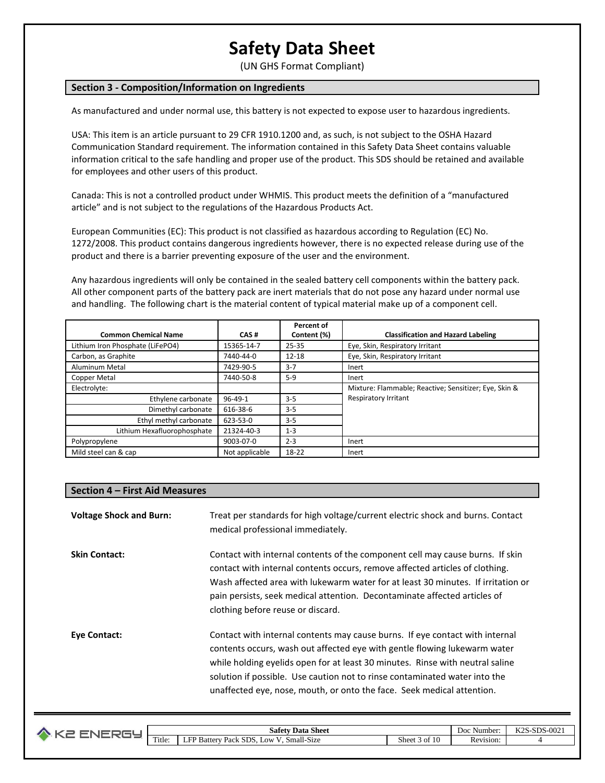(UN GHS Format Compliant)

### **Section 3 - Composition/Information on Ingredients**

As manufactured and under normal use, this battery is not expected to expose user to hazardous ingredients.

USA: This item is an article pursuant to 29 CFR 1910.1200 and, as such, is not subject to the OSHA Hazard Communication Standard requirement. The information contained in this Safety Data Sheet contains valuable information critical to the safe handling and proper use of the product. This SDS should be retained and available for employees and other users of this product.

Canada: This is not a controlled product under WHMIS. This product meets the definition of a "manufactured article" and is not subject to the regulations of the Hazardous Products Act.

European Communities (EC): This product is not classified as hazardous according to Regulation (EC) No. 1272/2008. This product contains dangerous ingredients however, there is no expected release during use of the product and there is a barrier preventing exposure of the user and the environment.

Any hazardous ingredients will only be contained in the sealed battery cell components within the battery pack. All other component parts of the battery pack are inert materials that do not pose any hazard under normal use and handling. The following chart is the material content of typical material make up of a component cell.

|                                  |                | Percent of  |                                                       |
|----------------------------------|----------------|-------------|-------------------------------------------------------|
| <b>Common Chemical Name</b>      | CAS#           | Content (%) | <b>Classification and Hazard Labeling</b>             |
| Lithium Iron Phosphate (LiFePO4) | 15365-14-7     | 25-35       | Eye, Skin, Respiratory Irritant                       |
| Carbon, as Graphite              | 7440-44-0      | $12 - 18$   | Eye, Skin, Respiratory Irritant                       |
| Aluminum Metal                   | 7429-90-5      | $3 - 7$     | Inert                                                 |
| Copper Metal                     | 7440-50-8      | $5-9$       | Inert                                                 |
| Electrolyte:                     |                |             | Mixture: Flammable; Reactive; Sensitizer; Eye, Skin & |
| Ethylene carbonate               | $96 - 49 - 1$  | $3 - 5$     | <b>Respiratory Irritant</b>                           |
| Dimethyl carbonate               | 616-38-6       | $3 - 5$     |                                                       |
| Ethyl methyl carbonate           | 623-53-0       | $3 - 5$     |                                                       |
| Lithium Hexafluorophosphate      | 21324-40-3     | $1 - 3$     |                                                       |
| Polypropylene                    | 9003-07-0      | $2 - 3$     | Inert                                                 |
| Mild steel can & cap             | Not applicable | 18-22       | Inert                                                 |

#### **Section 4 – First Aid Measures**

| <b>Voltage Shock and Burn:</b> | Treat per standards for high voltage/current electric shock and burns. Contact<br>medical professional immediately.                                                                                                                                                                                                                                                                                |
|--------------------------------|----------------------------------------------------------------------------------------------------------------------------------------------------------------------------------------------------------------------------------------------------------------------------------------------------------------------------------------------------------------------------------------------------|
| <b>Skin Contact:</b>           | Contact with internal contents of the component cell may cause burns. If skin<br>contact with internal contents occurs, remove affected articles of clothing.<br>Wash affected area with lukewarm water for at least 30 minutes. If irritation or<br>pain persists, seek medical attention. Decontaminate affected articles of<br>clothing before reuse or discard.                                |
| <b>Eye Contact:</b>            | Contact with internal contents may cause burns. If eye contact with internal<br>contents occurs, wash out affected eye with gentle flowing lukewarm water<br>while holding eyelids open for at least 30 minutes. Rinse with neutral saline<br>solution if possible. Use caution not to rinse contaminated water into the<br>unaffected eye, nose, mouth, or onto the face. Seek medical attention. |

| o |                  | <b>Data Sheet</b><br>-<br>Safety                                          |                                                    | Doc<br>Number | $S-SDS-002$<br>$L \cap C$<br>NZD. |
|---|------------------|---------------------------------------------------------------------------|----------------------------------------------------|---------------|-----------------------------------|
|   | $\sim$<br>Title: | Small-Size<br>$\sim$ $-$<br>SDS.<br>.0W<br>Batter <b>B</b><br>12001<br>ыL | $\sim$ $\sim$<br>$\sim$<br>Sheet 3<br>↑ Oì<br>- 11 | Revision:     |                                   |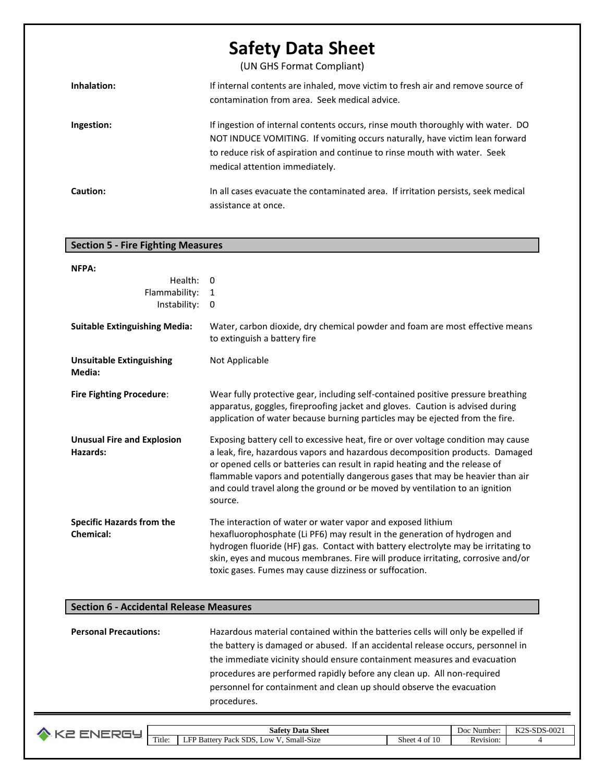(UN GHS Format Compliant)

| Inhalation: | If internal contents are inhaled, move victim to fresh air and remove source of<br>contamination from area. Seek medical advice.                                                                                                                                              |
|-------------|-------------------------------------------------------------------------------------------------------------------------------------------------------------------------------------------------------------------------------------------------------------------------------|
| Ingestion:  | If ingestion of internal contents occurs, rinse mouth thoroughly with water. DO<br>NOT INDUCE VOMITING. If vomiting occurs naturally, have victim lean forward<br>to reduce risk of aspiration and continue to rinse mouth with water. Seek<br>medical attention immediately. |
| Caution:    | In all cases evacuate the contaminated area. If irritation persists, seek medical<br>assistance at once.                                                                                                                                                                      |

### **Section 5 - Fire Fighting Measures**

| NFPA:                                                |                                                                                                                                                                                                                                                                                                                                                                                                                             |
|------------------------------------------------------|-----------------------------------------------------------------------------------------------------------------------------------------------------------------------------------------------------------------------------------------------------------------------------------------------------------------------------------------------------------------------------------------------------------------------------|
| Health:                                              | $\Omega$                                                                                                                                                                                                                                                                                                                                                                                                                    |
| Flammability:                                        | 1                                                                                                                                                                                                                                                                                                                                                                                                                           |
| Instability:                                         | 0                                                                                                                                                                                                                                                                                                                                                                                                                           |
| <b>Suitable Extinguishing Media:</b>                 | Water, carbon dioxide, dry chemical powder and foam are most effective means<br>to extinguish a battery fire                                                                                                                                                                                                                                                                                                                |
| <b>Unsuitable Extinguishing</b><br>Media:            | Not Applicable                                                                                                                                                                                                                                                                                                                                                                                                              |
| <b>Fire Fighting Procedure:</b>                      | Wear fully protective gear, including self-contained positive pressure breathing<br>apparatus, goggles, fireproofing jacket and gloves. Caution is advised during<br>application of water because burning particles may be ejected from the fire.                                                                                                                                                                           |
| <b>Unusual Fire and Explosion</b><br>Hazards:        | Exposing battery cell to excessive heat, fire or over voltage condition may cause<br>a leak, fire, hazardous vapors and hazardous decomposition products. Damaged<br>or opened cells or batteries can result in rapid heating and the release of<br>flammable vapors and potentially dangerous gases that may be heavier than air<br>and could travel along the ground or be moved by ventilation to an ignition<br>source. |
| <b>Specific Hazards from the</b><br><b>Chemical:</b> | The interaction of water or water vapor and exposed lithium<br>hexafluorophosphate (Li PF6) may result in the generation of hydrogen and<br>hydrogen fluoride (HF) gas. Contact with battery electrolyte may be irritating to<br>skin, eyes and mucous membranes. Fire will produce irritating, corrosive and/or<br>toxic gases. Fumes may cause dizziness or suffocation.                                                  |

### **Section 6 - Accidental Release Measures**

**Personal Precautions:** Hazardous material contained within the batteries cells will only be expelled if the battery is damaged or abused. If an accidental release occurs, personnel in the immediate vicinity should ensure containment measures and evacuation procedures are performed rapidly before any clean up. All non-required personnel for containment and clean up should observe the evacuation procedures.

|  |        | $\sim$<br><b>Sheet</b><br>Data<br>Safet                                                      | $T/T$ $\cap$ $\cap$<br>. ഹഹ<br>$_{\rm cnc}$<br>Number<br>Doc<br>N40<br>، د ۱ |                  |  |
|--|--------|----------------------------------------------------------------------------------------------|------------------------------------------------------------------------------|------------------|--|
|  | Title: | $\rightarrow$<br>$\sim$<br>CD T<br>ט נ<br>, Pack<br>1.0W<br>Small-Size<br>attery<br>De.<br>- | $\sim$<br>sheet<br>4 Oi                                                      | Revision:<br>nv. |  |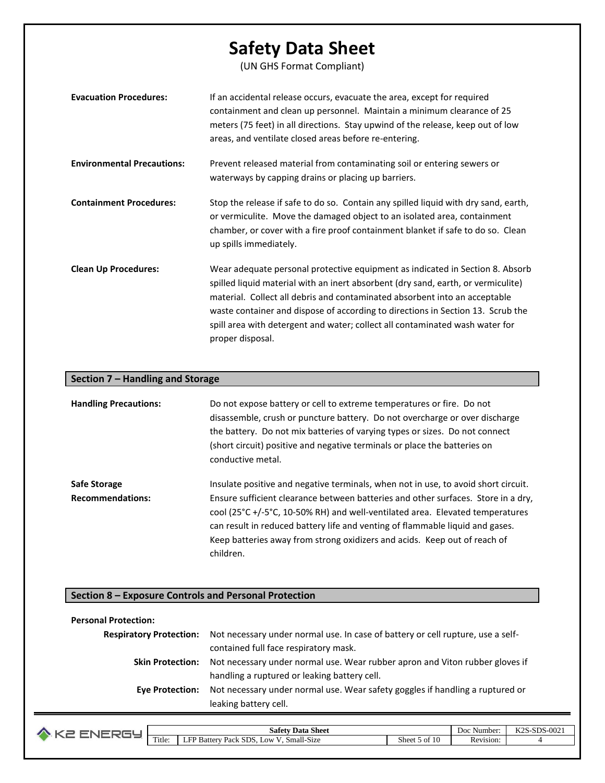(UN GHS Format Compliant)

| <b>Evacuation Procedures:</b>     | If an accidental release occurs, evacuate the area, except for required<br>containment and clean up personnel. Maintain a minimum clearance of 25<br>meters (75 feet) in all directions. Stay upwind of the release, keep out of low<br>areas, and ventilate closed areas before re-entering.                                                                                                                                           |
|-----------------------------------|-----------------------------------------------------------------------------------------------------------------------------------------------------------------------------------------------------------------------------------------------------------------------------------------------------------------------------------------------------------------------------------------------------------------------------------------|
| <b>Environmental Precautions:</b> | Prevent released material from contaminating soil or entering sewers or<br>waterways by capping drains or placing up barriers.                                                                                                                                                                                                                                                                                                          |
| <b>Containment Procedures:</b>    | Stop the release if safe to do so. Contain any spilled liquid with dry sand, earth,<br>or vermiculite. Move the damaged object to an isolated area, containment<br>chamber, or cover with a fire proof containment blanket if safe to do so. Clean<br>up spills immediately.                                                                                                                                                            |
| <b>Clean Up Procedures:</b>       | Wear adequate personal protective equipment as indicated in Section 8. Absorb<br>spilled liquid material with an inert absorbent (dry sand, earth, or vermiculite)<br>material. Collect all debris and contaminated absorbent into an acceptable<br>waste container and dispose of according to directions in Section 13. Scrub the<br>spill area with detergent and water; collect all contaminated wash water for<br>proper disposal. |

#### **Section 7 – Handling and Storage**

| <b>Handling Precautions:</b> | Do not expose battery or cell to extreme temperatures or fire. Do not<br>disassemble, crush or puncture battery. Do not overcharge or over discharge<br>the battery. Do not mix batteries of varying types or sizes. Do not connect<br>(short circuit) positive and negative terminals or place the batteries on<br>conductive metal. |
|------------------------------|---------------------------------------------------------------------------------------------------------------------------------------------------------------------------------------------------------------------------------------------------------------------------------------------------------------------------------------|
| Safe Storage                 | Insulate positive and negative terminals, when not in use, to avoid short circuit.                                                                                                                                                                                                                                                    |
| <b>Recommendations:</b>      | Ensure sufficient clearance between batteries and other surfaces. Store in a dry,<br>cool (25°C +/-5°C, 10-50% RH) and well-ventilated area. Elevated temperatures<br>can result in reduced battery life and venting of flammable liquid and gases.<br>Keep batteries away from strong oxidizers and acids. Keep out of reach of      |

### **Section 8 – Exposure Controls and Personal Protection**

children.

## **Personal Protection: Respiratory Protection:** Not necessary under normal use. In case of battery or cell rupture, use a selfcontained full face respiratory mask. **Skin Protection:** Not necessary under normal use. Wear rubber apron and Viton rubber gloves if handling a ruptured or leaking battery cell. **Eye Protection:** Not necessary under normal use. Wear safety goggles if handling a ruptured or leaking battery cell.

|        | <b>Sheet</b><br>Safety<br>Data                                | ワつぐ<br>CDO<br>D <sub>00</sub><br>Number: |           | 0.02<br>31.J3-UUZ |
|--------|---------------------------------------------------------------|------------------------------------------|-----------|-------------------|
| Title: | Small-Size<br>- -<br>ED.<br>LOW:<br>Battery<br>Pack<br>. SDS. | m<br>Sheet<br>ОI                         | Revision: |                   |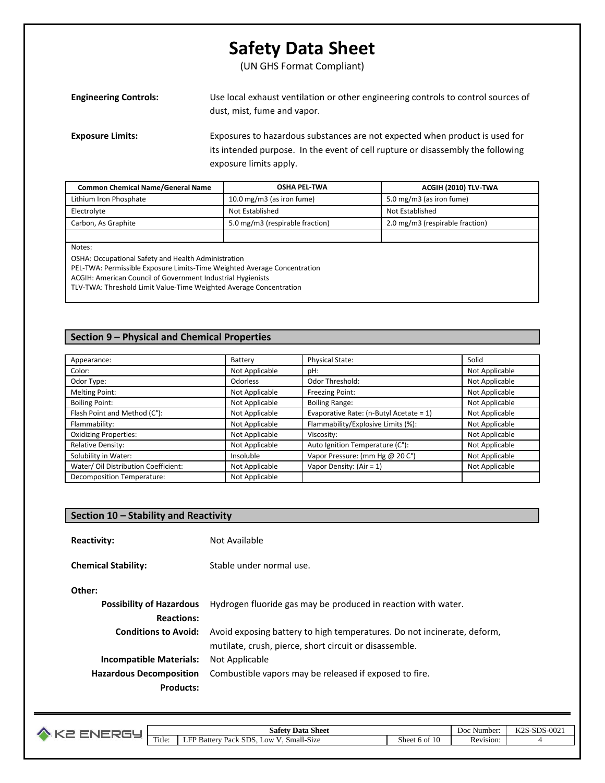(UN GHS Format Compliant)

| <b>Engineering Controls:</b> | Use local exhaust ventilation or other engineering controls to control sources of<br>dust, mist, fume and vapor.                                                                         |
|------------------------------|------------------------------------------------------------------------------------------------------------------------------------------------------------------------------------------|
| <b>Exposure Limits:</b>      | Exposures to hazardous substances are not expected when product is used for<br>its intended purpose. In the event of cell rupture or disassembly the following<br>exposure limits apply. |

| <b>Common Chemical Name/General Name</b> | <b>OSHA PEL-TWA</b>             | ACGIH (2010) TLV-TWA            |
|------------------------------------------|---------------------------------|---------------------------------|
| Lithium Iron Phosphate                   | 10.0 mg/m3 (as iron fume)       | 5.0 mg/m3 (as iron fume)        |
| Electrolyte                              | Not Established                 | Not Established                 |
| Carbon, As Graphite                      | 5.0 mg/m3 (respirable fraction) | 2.0 mg/m3 (respirable fraction) |
|                                          |                                 |                                 |
| $N = + - -$                              |                                 |                                 |

Notes:

OSHA: Occupational Safety and Health Administration

PEL-TWA: Permissible Exposure Limits-Time Weighted Average Concentration

ACGIH: American Council of Government Industrial Hygienists

TLV-TWA: Threshold Limit Value-Time Weighted Average Concentration

### **Section 9 – Physical and Chemical Properties**

| Appearance:                          | Battery        | <b>Physical State:</b>                  | Solid          |
|--------------------------------------|----------------|-----------------------------------------|----------------|
| Color:                               | Not Applicable | pH:                                     | Not Applicable |
| Odor Type:                           | Odorless       | Odor Threshold:                         | Not Applicable |
| Melting Point:                       | Not Applicable | Freezing Point:                         | Not Applicable |
| <b>Boiling Point:</b>                | Not Applicable | <b>Boiling Range:</b>                   | Not Applicable |
| Flash Point and Method (C°):         | Not Applicable | Evaporative Rate: (n-Butyl Acetate = 1) | Not Applicable |
| Flammability:                        | Not Applicable | Flammability/Explosive Limits (%):      | Not Applicable |
| <b>Oxidizing Properties:</b>         | Not Applicable | Viscosity:                              | Not Applicable |
| Relative Density:                    | Not Applicable | Auto Ignition Temperature (C°):         | Not Applicable |
| Solubility in Water:                 | Insoluble      | Vapor Pressure: (mm Hg @ 20 C°)         | Not Applicable |
| Water/ Oil Distribution Coefficient: | Not Applicable | Vapor Density: (Air = 1)                | Not Applicable |
| Decomposition Temperature:           | Not Applicable |                                         |                |

### **Section 10 – Stability and Reactivity**

| <b>Reactivity:</b>              | Not Available                                                           |
|---------------------------------|-------------------------------------------------------------------------|
| <b>Chemical Stability:</b>      | Stable under normal use.                                                |
| Other:                          |                                                                         |
| <b>Possibility of Hazardous</b> | Hydrogen fluoride gas may be produced in reaction with water.           |
| <b>Reactions:</b>               |                                                                         |
| <b>Conditions to Avoid:</b>     | Avoid exposing battery to high temperatures. Do not incinerate, deform, |
|                                 | mutilate, crush, pierce, short circuit or disassemble.                  |
| <b>Incompatible Materials:</b>  | Not Applicable                                                          |
| <b>Hazardous Decomposition</b>  | Combustible vapors may be released if exposed to fire.                  |
| <b>Products:</b>                |                                                                         |

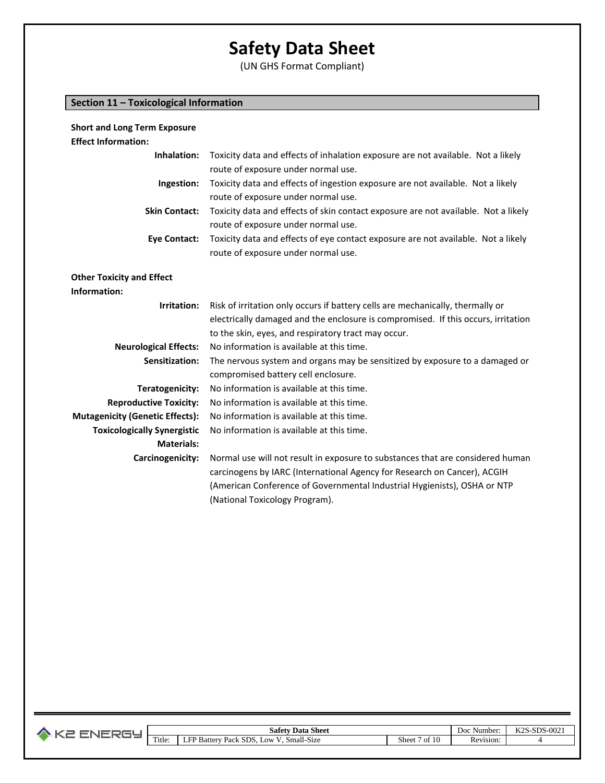(UN GHS Format Compliant)

## **Section 11 – Toxicological Information**

| <b>Short and Long Term Exposure</b>              |                                                                                    |
|--------------------------------------------------|------------------------------------------------------------------------------------|
| <b>Effect Information:</b>                       |                                                                                    |
| Inhalation:                                      | Toxicity data and effects of inhalation exposure are not available. Not a likely   |
|                                                  | route of exposure under normal use.                                                |
| Ingestion:                                       | Toxicity data and effects of ingestion exposure are not available. Not a likely    |
|                                                  | route of exposure under normal use.                                                |
| <b>Skin Contact:</b>                             | Toxicity data and effects of skin contact exposure are not available. Not a likely |
|                                                  | route of exposure under normal use.                                                |
| <b>Eye Contact:</b>                              | Toxicity data and effects of eye contact exposure are not available. Not a likely  |
|                                                  | route of exposure under normal use.                                                |
|                                                  |                                                                                    |
| <b>Other Toxicity and Effect</b><br>Information: |                                                                                    |
|                                                  |                                                                                    |
| Irritation:                                      | Risk of irritation only occurs if battery cells are mechanically, thermally or     |
|                                                  | electrically damaged and the enclosure is compromised. If this occurs, irritation  |
|                                                  | to the skin, eyes, and respiratory tract may occur.                                |
| <b>Neurological Effects:</b>                     | No information is available at this time.                                          |
| Sensitization:                                   | The nervous system and organs may be sensitized by exposure to a damaged or        |
|                                                  | compromised battery cell enclosure.                                                |
| Teratogenicity:                                  | No information is available at this time.                                          |
| <b>Reproductive Toxicity:</b>                    | No information is available at this time.                                          |
| <b>Mutagenicity (Genetic Effects):</b>           | No information is available at this time.                                          |
| <b>Toxicologically Synergistic</b>               | No information is available at this time.                                          |
| <b>Materials:</b>                                |                                                                                    |
| Carcinogenicity:                                 | Normal use will not result in exposure to substances that are considered human     |
|                                                  | carcinogens by IARC (International Agency for Research on Cancer), ACGIH           |
|                                                  | (American Conference of Governmental Industrial Hygienists), OSHA or NTP           |
|                                                  | (National Toxicology Program).                                                     |

|  |                | Data Sheet<br>safety.                                              |                   | . .<br>Number<br>Doc | エፘへぴ<br>000<br>CDO<br>ാ-ചാം-ശാ∠.<br>N40 |
|--|----------------|--------------------------------------------------------------------|-------------------|----------------------|-----------------------------------------|
|  | $-1$<br>Title: | Small-Size<br>ED E<br>SDS.<br><b>B</b> atter<br>. LOW<br>Pack<br>⊷ | n.<br>Sheet<br>ΩŤ | -<br>Revision:       |                                         |
|  |                |                                                                    |                   |                      |                                         |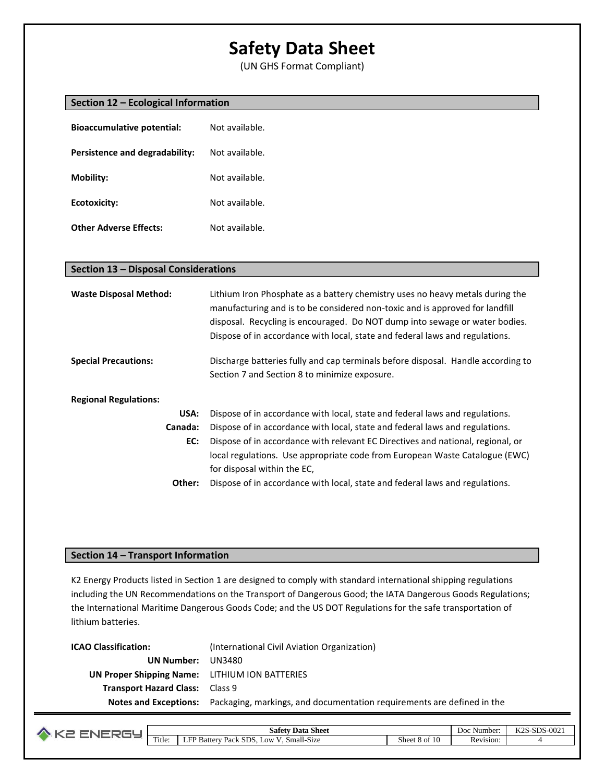(UN GHS Format Compliant)

| Section 12 - Ecological Information   |                                                                                                                                                                                                                                                                                                                              |  |
|---------------------------------------|------------------------------------------------------------------------------------------------------------------------------------------------------------------------------------------------------------------------------------------------------------------------------------------------------------------------------|--|
| <b>Bioaccumulative potential:</b>     | Not available.                                                                                                                                                                                                                                                                                                               |  |
| <b>Persistence and degradability:</b> | Not available.                                                                                                                                                                                                                                                                                                               |  |
| <b>Mobility:</b>                      | Not available.                                                                                                                                                                                                                                                                                                               |  |
| <b>Ecotoxicity:</b>                   | Not available.                                                                                                                                                                                                                                                                                                               |  |
| <b>Other Adverse Effects:</b>         | Not available.                                                                                                                                                                                                                                                                                                               |  |
|                                       |                                                                                                                                                                                                                                                                                                                              |  |
| Section 13 - Disposal Considerations  |                                                                                                                                                                                                                                                                                                                              |  |
| <b>Waste Disposal Method:</b>         | Lithium Iron Phosphate as a battery chemistry uses no heavy metals during the<br>manufacturing and is to be considered non-toxic and is approved for landfill<br>disposal. Recycling is encouraged. Do NOT dump into sewage or water bodies.<br>Dispose of in accordance with local, state and federal laws and regulations. |  |
| <b>Special Precautions:</b>           | Discharge batteries fully and cap terminals before disposal. Handle according to<br>Section 7 and Section 8 to minimize exposure.                                                                                                                                                                                            |  |
| <b>Regional Regulations:</b>          |                                                                                                                                                                                                                                                                                                                              |  |
| USA:                                  | Dispose of in accordance with local, state and federal laws and regulations.                                                                                                                                                                                                                                                 |  |
| Canada:                               | Dispose of in accordance with local, state and federal laws and regulations.                                                                                                                                                                                                                                                 |  |
| EC:                                   | Dispose of in accordance with relevant EC Directives and national, regional, or<br>local regulations. Use appropriate code from European Waste Catalogue (EWC)<br>for disposal within the EC,                                                                                                                                |  |
| Other:                                | Dispose of in accordance with local, state and federal laws and regulations.                                                                                                                                                                                                                                                 |  |

### **Section 14 – Transport Information**

K2 Energy Products listed in Section 1 are designed to comply with standard international shipping regulations including the UN Recommendations on the Transport of Dangerous Good; the IATA Dangerous Goods Regulations; the International Maritime Dangerous Goods Code; and the US DOT Regulations for the safe transportation of lithium batteries.

| <b>ICAO Classification:</b>                    | (International Civil Aviation Organization)                                                         |
|------------------------------------------------|-----------------------------------------------------------------------------------------------------|
| UN Number:                                     | UN3480                                                                                              |
| UN Proper Shipping Name: LITHIUM ION BATTERIES |                                                                                                     |
| <b>Transport Hazard Class: Class 9</b>         |                                                                                                     |
|                                                | <b>Notes and Exceptions:</b> Packaging, markings, and documentation requirements are defined in the |

|                | $\sim$<br>Sheet<br>Data<br>safety                                                                                           |               | Number<br>Doc    | $-002$<br>$T/T$ $\cap$ $\cap$<br><b>SDS</b><br>$-511.7$<br>n Zo |
|----------------|-----------------------------------------------------------------------------------------------------------------------------|---------------|------------------|-----------------------------------------------------------------|
| $-$<br>l'itle: | $\ddot{\phantom{0}}$<br>$\sim$<br>$\sim$<br><b>SDS</b><br>$\blacksquare$<br>0.0W<br>. Small-Size<br>Battery<br>⊥FP.<br>Pack | Shee.<br>8 of | 'evision:<br>KC. |                                                                 |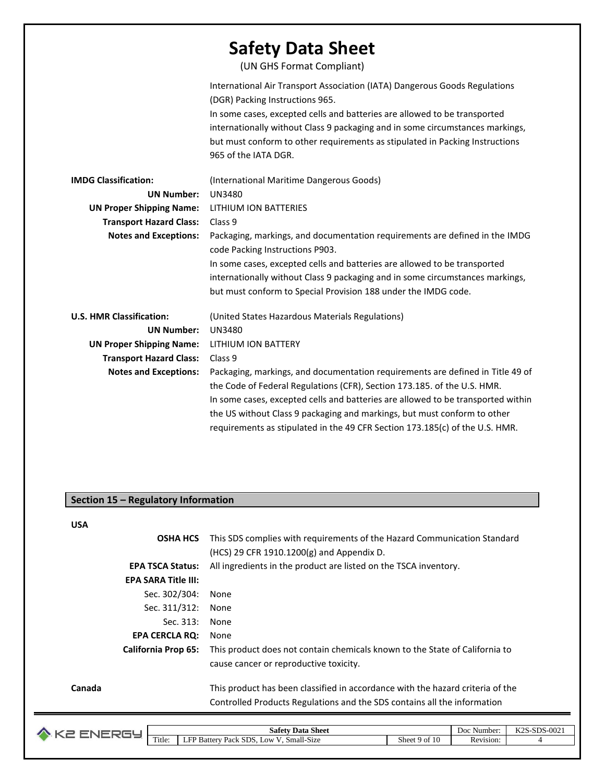|                                 | <b>Safety Data Sheet</b><br>(UN GHS Format Compliant)                                                                                                                                                                                                                                                                                                                               |
|---------------------------------|-------------------------------------------------------------------------------------------------------------------------------------------------------------------------------------------------------------------------------------------------------------------------------------------------------------------------------------------------------------------------------------|
|                                 | International Air Transport Association (IATA) Dangerous Goods Regulations<br>(DGR) Packing Instructions 965.<br>In some cases, excepted cells and batteries are allowed to be transported<br>internationally without Class 9 packaging and in some circumstances markings,<br>but must conform to other requirements as stipulated in Packing Instructions<br>965 of the IATA DGR. |
| <b>IMDG Classification:</b>     | (International Maritime Dangerous Goods)                                                                                                                                                                                                                                                                                                                                            |
| <b>UN Number:</b>               | <b>UN3480</b>                                                                                                                                                                                                                                                                                                                                                                       |
| <b>UN Proper Shipping Name:</b> | LITHIUM ION BATTERIES                                                                                                                                                                                                                                                                                                                                                               |
| <b>Transport Hazard Class:</b>  | Class 9                                                                                                                                                                                                                                                                                                                                                                             |
| <b>Notes and Exceptions:</b>    | Packaging, markings, and documentation requirements are defined in the IMDG<br>code Packing Instructions P903.                                                                                                                                                                                                                                                                      |
|                                 | In some cases, excepted cells and batteries are allowed to be transported                                                                                                                                                                                                                                                                                                           |
|                                 | internationally without Class 9 packaging and in some circumstances markings,                                                                                                                                                                                                                                                                                                       |
|                                 | but must conform to Special Provision 188 under the IMDG code.                                                                                                                                                                                                                                                                                                                      |
| <b>U.S. HMR Classification:</b> | (United States Hazardous Materials Regulations)                                                                                                                                                                                                                                                                                                                                     |
| <b>UN Number:</b>               | <b>UN3480</b>                                                                                                                                                                                                                                                                                                                                                                       |
| <b>UN Proper Shipping Name:</b> | LITHIUM ION BATTERY                                                                                                                                                                                                                                                                                                                                                                 |
| <b>Transport Hazard Class:</b>  | Class 9                                                                                                                                                                                                                                                                                                                                                                             |
| <b>Notes and Exceptions:</b>    | Packaging, markings, and documentation requirements are defined in Title 49 of                                                                                                                                                                                                                                                                                                      |
|                                 | the Code of Federal Regulations (CFR), Section 173.185. of the U.S. HMR.                                                                                                                                                                                                                                                                                                            |
|                                 | In some cases, excepted cells and batteries are allowed to be transported within                                                                                                                                                                                                                                                                                                    |
|                                 | the US without Class 9 packaging and markings, but must conform to other                                                                                                                                                                                                                                                                                                            |
|                                 | requirements as stipulated in the 49 CFR Section 173.185(c) of the U.S. HMR.                                                                                                                                                                                                                                                                                                        |

## **Section 15 – Regulatory Information**

**USA**

| UJM    |                            |                                                                                |
|--------|----------------------------|--------------------------------------------------------------------------------|
|        | <b>OSHA HCS</b>            | This SDS complies with requirements of the Hazard Communication Standard       |
|        |                            | $(HCS)$ 29 CFR 1910.1200 $(g)$ and Appendix D.                                 |
|        | <b>EPA TSCA Status:</b>    | All ingredients in the product are listed on the TSCA inventory.               |
|        | <b>EPA SARA Title III:</b> |                                                                                |
|        | Sec. 302/304:              | None                                                                           |
|        | Sec. 311/312:              | None                                                                           |
|        | Sec. 313:                  | None                                                                           |
|        | <b>EPA CERCLA RQ:</b>      | None                                                                           |
|        | <b>California Prop 65:</b> | This product does not contain chemicals known to the State of California to    |
|        |                            | cause cancer or reproductive toxicity.                                         |
| Canada |                            | This product has been classified in accordance with the hazard criteria of the |
|        |                            | Controlled Products Regulations and the SDS contains all the information       |
|        |                            |                                                                                |

| . . |                  | $\sim$<br><b>Shee</b><br>safety<br>Data                                              |               | $-$<br>.\umber<br>Doc | 0.021<br>$  -$<br>$\alpha$<br>レハーハリム |
|-----|------------------|--------------------------------------------------------------------------------------|---------------|-----------------------|--------------------------------------|
|     | $\sim$<br>Title: | 11 <sub>0</sub><br>$C^{\mathsf{nc}}$<br>. OW<br>Small-S1ze<br>Battery<br>Pack<br>נור | Sheet<br>9 of | -<br>vision:          |                                      |